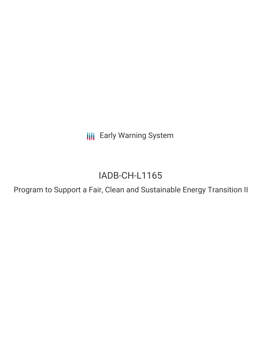**III** Early Warning System

# IADB-CH-L1165

Program to Support a Fair, Clean and Sustainable Energy Transition II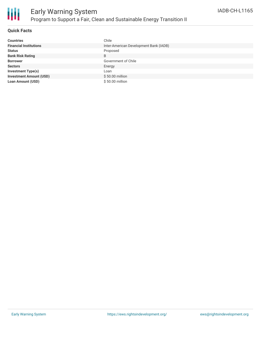

## **Quick Facts**

| <b>Countries</b>               | Chile                                  |
|--------------------------------|----------------------------------------|
| <b>Financial Institutions</b>  | Inter-American Development Bank (IADB) |
| <b>Status</b>                  | Proposed                               |
| <b>Bank Risk Rating</b>        | B                                      |
| <b>Borrower</b>                | Government of Chile                    |
| <b>Sectors</b>                 | Energy                                 |
| <b>Investment Type(s)</b>      | Loan                                   |
| <b>Investment Amount (USD)</b> | $$50.00$ million                       |
| <b>Loan Amount (USD)</b>       | \$50.00 million                        |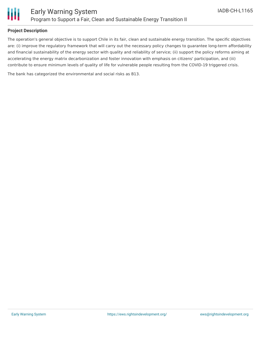

## **Project Description**

The operation's general objective is to support Chile in its fair, clean and sustainable energy transition. The specific objectives are: (i) improve the regulatory framework that will carry out the necessary policy changes to guarantee long-term affordability and financial sustainability of the energy sector with quality and reliability of service; (ii) support the policy reforms aiming at accelerating the energy matrix decarbonization and foster innovation with emphasis on citizens' participation, and (iii) contribute to ensure minimum levels of quality of life for vulnerable people resulting from the COVID-19 triggered crisis.

The bank has categorized the environmental and social risks as B13.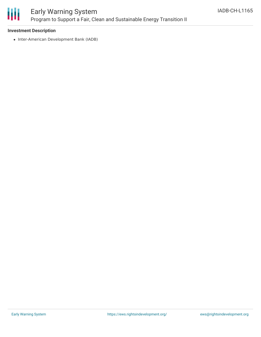

# Early Warning System Program to Support a Fair, Clean and Sustainable Energy Transition II

#### **Investment Description**

• Inter-American Development Bank (IADB)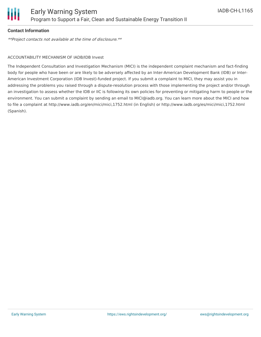

#### **Contact Information**

\*\*Project contacts not available at the time of disclosure.\*\*

#### ACCOUNTABILITY MECHANISM OF IADB/IDB Invest

The Independent Consultation and Investigation Mechanism (MICI) is the independent complaint mechanism and fact-finding body for people who have been or are likely to be adversely affected by an Inter-American Development Bank (IDB) or Inter-American Investment Corporation (IDB Invest)-funded project. If you submit a complaint to MICI, they may assist you in addressing the problems you raised through a dispute-resolution process with those implementing the project and/or through an investigation to assess whether the IDB or IIC is following its own policies for preventing or mitigating harm to people or the environment. You can submit a complaint by sending an email to MICI@iadb.org. You can learn more about the MICI and how to file a complaint at http://www.iadb.org/en/mici/mici,1752.html (in English) or http://www.iadb.org/es/mici/mici,1752.html (Spanish).